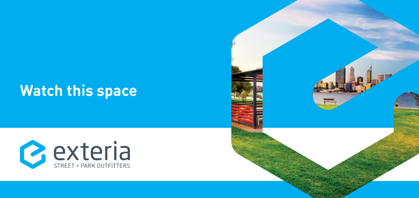# **Watch this space**



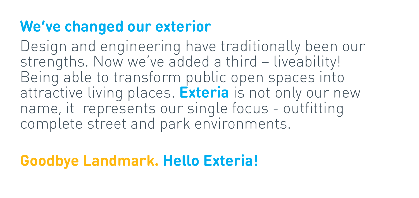# **We've changed our exterior**

Design and engineering have traditionally been our strengths. Now we've added a third – liveability! Being able to transform public open spaces into attractive living places. **Exteria** is not only our new name, it represents our single focus - outfitting complete street and park environments.

#### **Goodbye Landmark. Hello Exteria!**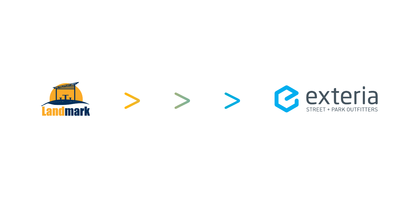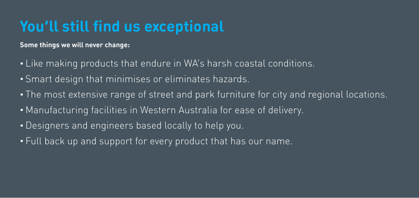# **You'll still find us exceptional**

**Some things we will never change:**

- Like making products that endure in WA's harsh coastal conditions.
- Smart design that minimises or eliminates hazards.
- The most extensive range of street and park furniture for city and regional locations.
- Manufacturing facilities in Western Australia for ease of delivery.
- Designers and engineers based locally to help you.
- Full back up and support for every product that has our name.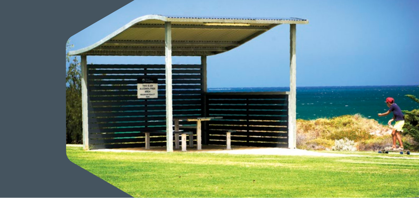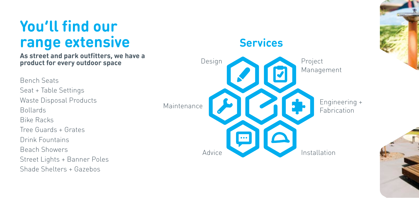# **You'll find our range extensive**

**As street and park outfitters, we have a product for every outdoor space** Design

Bench Seats Seat + Table Settings Waste Disposal Products Bollards Bike Racks Tree Guards + Grates Drink Fountains Beach Showers Street Lights + Banner Poles Shade Shelters + Gazebos



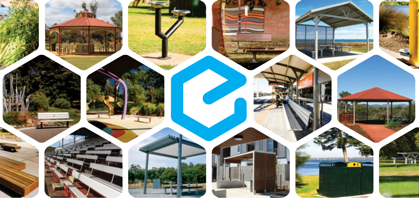